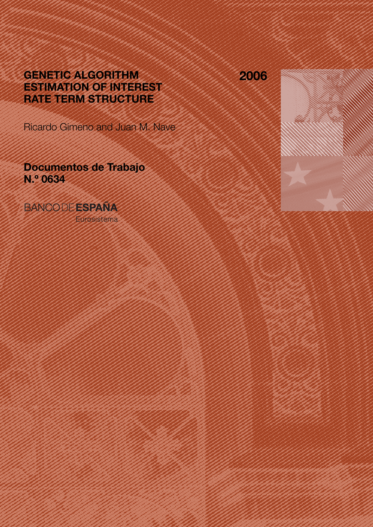# GENETIC ALGORITHM ESTIMATION OF INTEREST RATE TERM STRUCTURE

Ricardo Gimeno and Juan M. Nave

Documentos de Trabajo N.º 0634

**BANCODE ESPAÑA** 

Eurosistema

2006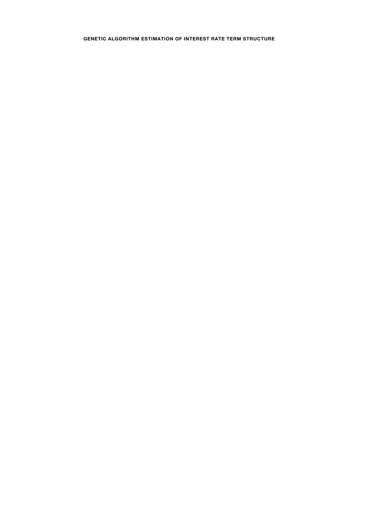## GENETIC ALGORITHM ESTIMATION OF INTEREST RATE TERM STRUCTURE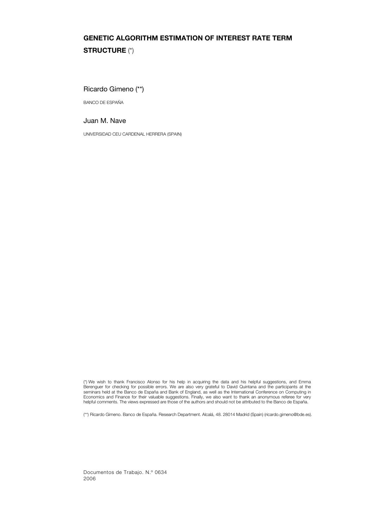# GENETIC ALGORITHM ESTIMATION OF INTEREST RATE TERM STRUCTURE (\*)

Ricardo Gimeno (\*\*)

BANCO DE ESPAÑA

Juan M. Nave

UNIVERSIDAD CEU CARDENAL HERRERA (SPAIN)

(\*) We wish to thank Francisco Alonso for his help in acquiring the data and his helpful suggestions, and Emma Berenguer for checking for possible errors. We are also very grateful to David Quintana and the participants at the<br>seminars held at the Banco de España and Bank of England, as well as the International Conference on Compu helpful comments. The views expressed are those of the authors and should not be attributed to the Banco de España.

(\*\*) Ricardo Gimeno. Banco de España. Research Department. Alcalá, 48. 28014 Madrid (Spain) (ricardo.gimeno@bde.es).

Documentos de Trabajo. N.º 0634 2006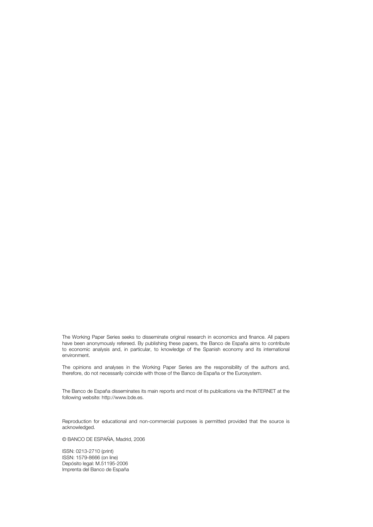The Working Paper Series seeks to disseminate original research in economics and finance. All papers have been anonymously refereed. By publishing these papers, the Banco de España aims to contribute to economic analysis and, in particular, to knowledge of the Spanish economy and its international environment.

The opinions and analyses in the Working Paper Series are the responsibility of the authors and, therefore, do not necessarily coincide with those of the Banco de España or the Eurosystem.

The Banco de España disseminates its main reports and most of its publications via the INTERNET at the following website: http://www.bde.es.

Reproduction for educational and non-commercial purposes is permitted provided that the source is acknowledged.

© BANCO DE ESPAÑA, Madrid, 2006

ISSN: 0213-2710 (print) ISSN: 1579-8666 (on line) Depósito legal: M.51195-2006 Imprenta del Banco de España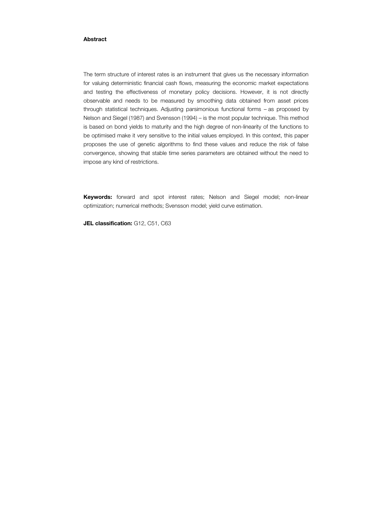#### Abstract

The term structure of interest rates is an instrument that gives us the necessary information for valuing deterministic financial cash flows, measuring the economic market expectations and testing the effectiveness of monetary policy decisions. However, it is not directly observable and needs to be measured by smoothing data obtained from asset prices through statistical techniques. Adjusting parsimonious functional forms – as proposed by Nelson and Siegel (1987) and Svensson (1994) – is the most popular technique. This method is based on bond yields to maturity and the high degree of non-linearity of the functions to be optimised make it very sensitive to the initial values employed. In this context, this paper proposes the use of genetic algorithms to find these values and reduce the risk of false convergence, showing that stable time series parameters are obtained without the need to impose any kind of restrictions.

Keywords: forward and spot interest rates; Nelson and Siegel model; non-linear optimization; numerical methods; Svensson model; yield curve estimation.

JEL classification: G12, C51, C63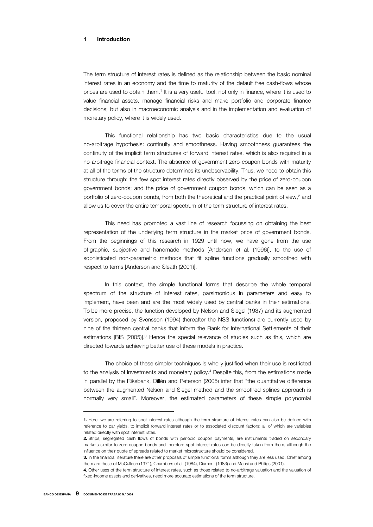#### 1 Introduction

The term structure of interest rates is defined as the relationship between the basic nominal interest rates in an economy and the time to maturity of the default free cash-flows whose prices are used to obtain them.<sup>1</sup> It is a very useful tool, not only in finance, where it is used to value financial assets, manage financial risks and make portfolio and corporate finance decisions; but also in macroeconomic analysis and in the implementation and evaluation of monetary policy, where it is widely used.

This functional relationship has two basic characteristics due to the usual no-arbitrage hypothesis: continuity and smoothness. Having smoothness guarantees the continuity of the implicit term structures of forward interest rates, which is also required in a no-arbitrage financial context. The absence of government zero-coupon bonds with maturity at all of the terms of the structure determines its unobservability. Thus, we need to obtain this structure through: the few spot interest rates directly observed by the price of zero-coupon government bonds; and the price of government coupon bonds, which can be seen as a portfolio of zero-coupon bonds, from both the theoretical and the practical point of view,<sup>2</sup> and allow us to cover the entire temporal spectrum of the term structure of interest rates.

This need has promoted a vast line of research focussing on obtaining the best representation of the underlying term structure in the market price of government bonds. From the beginnings of this research in 1929 until now, we have gone from the use of graphic, subjective and handmade methods [Anderson et al. (1996)], to the use of sophisticated non-parametric methods that fit spline functions gradually smoothed with respect to terms [Anderson and Sleath (2001)].

In this context, the simple functional forms that describe the whole temporal spectrum of the structure of interest rates, parsimonious in parameters and easy to implement, have been and are the most widely used by central banks in their estimations. To be more precise, the function developed by Nelson and Siegel (1987) and its augmented version, proposed by Svensson (1994) (hereafter the NSS functions) are currently used by nine of the thirteen central banks that inform the Bank for International Settlements of their estimations [BIS (2005)].3 Hence the special relevance of studies such as this, which are directed towards achieving better use of these models in practice.

The choice of these simpler techniques is wholly justified when their use is restricted to the analysis of investments and monetary policy.<sup>4</sup> Despite this, from the estimations made in parallel by the Riksbank, Dillén and Peterson (2005) infer that "the quantitative difference between the augmented Nelson and Siegel method and the smoothed splines approach is normally very small". Moreover, the estimated parameters of these simple polynomial

<sup>1.</sup> Here, we are referring to spot interest rates although the term structure of interest rates can also be defined with reference to par yields, to implicit forward interest rates or to associated discount factors; all of which are variables related directly with spot interest rates.

<sup>2</sup>. Strips, segregated cash flows of bonds with periodic coupon payments, are instruments traded on secondary markets similar to zero-coupon bonds and therefore spot interest rates can be directly taken from them, although the influence on their quote of spreads related to market microstructure should be considered.

<sup>3</sup>. In the financial literature there are other proposals of simple functional forms although they are less used. Chief among them are those of McCulloch (1971), Chambers et al. (1984), Diament (1983) and Mansi and Philips (2001).

<sup>4</sup>. Other uses of the term structure of interest rates, such as those related to no-arbitrage valuation and the valuation of fixed-income assets and derivatives, need more accurate estimations of the term structure.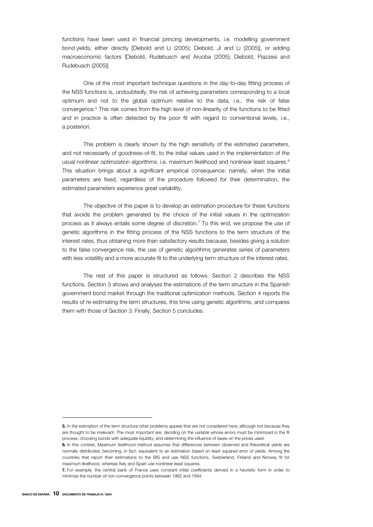functions have been used in financial princing developments, i.e. modelling government bond yields, either directly [Diebold and Li (2005); Diebold, Ji and Li (2005)], or adding macroeconomic factors [Diebold, Rudebusch and Aruoba (2005); Diebold, Piazzesi and Rudebusch (2005)].

One of the most important technique questions in the day-to-day fitting process of the NSS functions is, undoubtedly, the risk of achieving parameters corresponding to a local optimum and not to the global optimum relative to the data, i.e., the risk of false convergence.5 This risk comes from the high level of non-linearity of the functions to be fitted and in practice is often detected by the poor fit with regard to conventional levels, i.e., a posteriori.

This problem is clearly shown by the high sensitivity of the estimated parameters, and not necessarily of goodness-of-fit, to the initial values used in the implementation of the usual nonlinear optimization algorithms, i.e. maximum likelihood and nonlinear least squares.<sup>6</sup> This situation brings about a significant empirical consequence: namely, when the initial parameters are fixed, regardless of the procedure followed for their determination, the estimated parameters experience great variability.

The objective of this paper is to develop an estimation procedure for these functions that avoids the problem generated by the choice of the initial values in the optimization process as it always entails some degree of discretion.7 To this end, we propose the use of genetic algorithms in the fitting process of the NSS functions to the term structure of the interest rates, thus obtaining more than satisfactory results because, besides giving a solution to the false convergence risk, the use of genetic algorithms generates series of parameters with less volatility and a more accurate fit to the underlying term structure of the interest rates.

The rest of this paper is structured as follows. Section 2 describes the NSS functions. Section 3 shows and analyses the estimations of the term structure in the Spanish government bond market through the traditional optimization methods. Section 4 reports the results of re-estimating the term structures, this time using genetic algorithms, and compares them with those of Section 3. Finally, Section 5 concludes.

j

<sup>5</sup>. In the estimation of the term structure other problems appear that are not considered here, although not because they are thought to be irrelevant. The most important are: deciding on the variable whose errors must be minimized in the fit process; choosing bonds with adequate liquidity; and determining the influence of taxes on the prices used.

<sup>6.</sup> In this context, Maximum likelihood method assumes that differences between observed and theoretical vields are normally distributed, becoming, in fact, equivalent to an estimation based on least squared error of yields. Among the countries that report their estimations to the BIS and use NSS functions, Switzerland, Finland and Norway fit for maximum likelihood, whereas Italy and Spain use nonlinear least squares.

<sup>7</sup>. For example, the central bank of France uses constant initial coefficients derived in a heuristic form in order to minimize the number of non-convergence points between 1992 and 1994.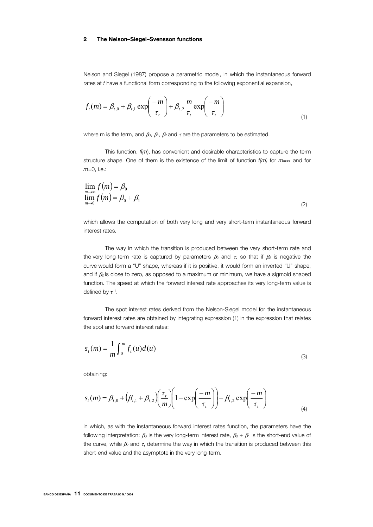#### 2 The Nelson–Siegel–Svensson functions

Nelson and Siegel (1987) propose a parametric model, in which the instantaneous forward rates at *t* have a functional form corresponding to the following exponential expansion,

$$
f_t(m) = \beta_{t,0} + \beta_{t,1} \exp\left(-\frac{m}{\tau_t}\right) + \beta_{t,2} \frac{m}{\tau_t} \exp\left(-\frac{m}{\tau_t}\right)
$$
\n(1)

where m is the term, and  $\beta_0$ ,  $\beta_1$ ,  $\beta_2$  and  $\tau$  are the parameters to be estimated.

This function, *f*(*m*), has convenient and desirable characteristics to capture the term structure shape. One of them is the existence of the limit of function *f(m)* for *m=*∞ and for *m*=0, i.e.:

$$
\lim_{\substack{m\to\infty\\ \lim_{m\to 0}} f(m) = \beta_0 + \beta_1}
$$
\n(2)

which allows the computation of both very long and very short-term instantaneous forward interest rates.

The way in which the transition is produced between the very short-term rate and the very long-term rate is captured by parameters  $\beta_2$  and  $\tau$ , so that if  $\beta_2$  is negative the curve would form a "U" shape, whereas if it is positive, it would form an inverted "U" shape, and if  $\beta_2$  is close to zero, as opposed to a maximum or minimum, we have a sigmoid shaped function. The speed at which the forward interest rate approaches its very long-term value is defined by  $\tau^{-1}$ .

The spot interest rates derived from the Nelson-Siegel model for the instantaneous forward interest rates are obtained by integrating expression (1) in the expression that relates the spot and forward interest rates:

$$
s_t(m) = \frac{1}{m} \int_0^m f_t(u) d(u)
$$
\n<sup>(3)</sup>

obtaining:

$$
s_t(m) = \beta_{t,0} + \left(\beta_{t,1} + \beta_{t,2}\right) \left(\frac{\tau_t}{m}\right) \left(1 - \exp\left(\frac{-m}{\tau_t}\right)\right) - \beta_{t,2} \exp\left(\frac{-m}{\tau_t}\right)
$$
\n(4)

in which, as with the instantaneous forward interest rates function, the parameters have the following interpretation:  $\beta_0$  is the very long-term interest rate,  $\beta_0 + \beta_1$  is the short-end value of the curve, while  $\beta_2$  and  $\tau$ , determine the way in which the transition is produced between this short-end value and the asymptote in the very long-term.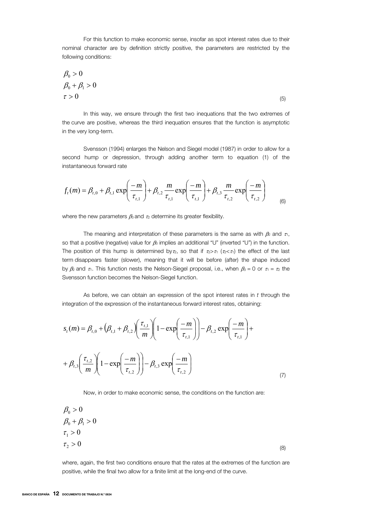For this function to make economic sense, insofar as spot interest rates due to their nominal character are by definition strictly positive, the parameters are restricted by the following conditions:

$$
\begin{aligned}\n\beta_0 > 0 \\
\beta_0 + \beta_1 > 0 \\
\tau > 0\n\end{aligned} \tag{5}
$$

In this way, we ensure through the first two inequations that the two extremes of the curve are positive, whereas the third inequation ensures that the function is asymptotic in the very long-term.

Svensson (1994) enlarges the Nelson and Siegel model (1987) in order to allow for a second hump or depression, through adding another term to equation (1) of the instantaneous forward rate

$$
f_{t}(m) = \beta_{t,0} + \beta_{t,1} \exp\left(-\frac{m}{\tau_{t,1}}\right) + \beta_{t,2} \frac{m}{\tau_{t,1}} \exp\left(-\frac{m}{\tau_{t,1}}\right) + \beta_{t,3} \frac{m}{\tau_{t,2}} \exp\left(-\frac{m}{\tau_{t,2}}\right)
$$
(6)

where the new parameters  $\beta_3$  and  $\tau_2$  determine its greater flexibility.

The meaning and interpretation of these parameters is the same as with  $\beta_2$  and  $\tau_1$ , so that a positive (negative) value for  $\beta_3$  implies an additional "U" (inverted "U") in the function. The position of this hump is determined by  $\tau_2$ , so that if  $\tau_2 > \tau_1$  ( $\tau_2 < \tau_1$ ) the effect of the last term disappears faster (slower), meaning that it will be before (after) the shape induced by  $\beta_2$  and  $\tau_1$ . This function nests the Nelson-Siegel proposal, i.e., when  $\beta_3 = 0$  or  $\tau_1 = \tau_2$  the Svensson function becomes the Nelson-Siegel function.

As before, we can obtain an expression of the spot interest rates in *t* through the integration of the expression of the instantaneous forward interest rates, obtaining:

$$
s_{t}(m) = \beta_{t,0} + (\beta_{t,1} + \beta_{t,2}) \left( \frac{\tau_{t,1}}{m} \right) \left( 1 - \exp\left( \frac{-m}{\tau_{t,1}} \right) \right) - \beta_{t,2} \exp\left( \frac{-m}{\tau_{t,1}} \right) + \beta_{t,3} \left( \frac{\tau_{t,2}}{m} \right) \left( 1 - \exp\left( \frac{-m}{\tau_{t,2}} \right) \right) - \beta_{t,3} \exp\left( \frac{-m}{\tau_{t,2}} \right)
$$
\n(7)

Now, in order to make economic sense, the conditions on the function are:

$$
\beta_0 > 0
$$
  
\n
$$
\beta_0 + \beta_1 > 0
$$
  
\n
$$
\tau_1 > 0
$$
  
\n
$$
\tau_2 > 0
$$
 (8)

where, again, the first two conditions ensure that the rates at the extremes of the function are positive, while the final two allow for a finite limit at the long-end of the curve.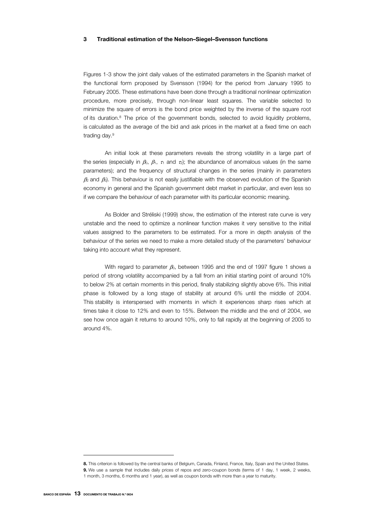### 3 Traditional estimation of the Nelson–Siegel–Svensson functions

Figures 1-3 show the joint daily values of the estimated parameters in the Spanish market of the functional form proposed by Svensson (1994) for the period from January 1995 to February 2005. These estimations have been done through a traditional nonlinear optimization procedure, more precisely, through non-linear least squares. The variable selected to minimize the square of errors is the bond price weighted by the inverse of the square root of its duration.8 The price of the government bonds, selected to avoid liquidity problems, is calculated as the average of the bid and ask prices in the market at a fixed time on each trading day.9

An initial look at these parameters reveals the strong volatility in a large part of the series (especially in  $\beta_0$ ,  $\beta_1$ ,  $\tau_1$  and  $\tau_2$ ); the abundance of anomalous values (in the same parameters); and the frequency of structural changes in the series (mainly in parameters  $\beta_2$  and  $\beta_3$ ). This behaviour is not easily justifiable with the observed evolution of the Spanish economy in general and the Spanish government debt market in particular, and even less so if we compare the behaviour of each parameter with its particular economic meaning.

As Bolder and Stréliski (1999) show, the estimation of the interest rate curve is very unstable and the need to optimize a nonlinear function makes it very sensitive to the initial values assigned to the parameters to be estimated. For a more in depth analysis of the behaviour of the series we need to make a more detailed study of the parameters' behaviour taking into account what they represent.

With regard to parameter  $\beta_0$ , between 1995 and the end of 1997 figure 1 shows a period of strong volatility accompanied by a fall from an initial starting point of around 10% to below 2% at certain moments in this period, finally stabilizing slightly above 6%. This initial phase is followed by a long stage of stability at around 6% until the middle of 2004. This stability is interspersed with moments in which it experiences sharp rises which at times take it close to 12% and even to 15%. Between the middle and the end of 2004, we see how once again it returns to around 10%, only to fall rapidly at the beginning of 2005 to around 4%.

 $\overline{a}$ 

<sup>8.</sup> This criterion is followed by the central banks of Belgium, Canada, Finland, France, Italy, Spain and the United States.

<sup>9</sup>. We use a sample that includes daily prices of repos and zero-coupon bonds (terms of 1 day, 1 week, 2 weeks, 1 month, 3 months, 6 months and 1 year), as well as coupon bonds with more than a year to maturity.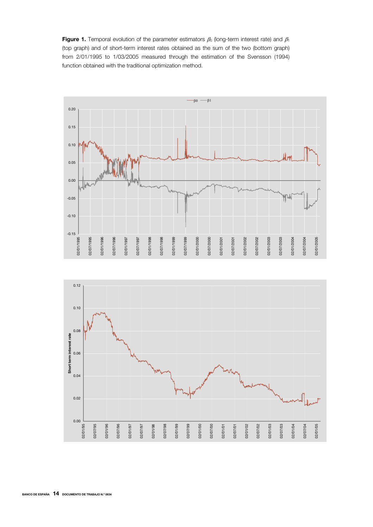Figure 1. Temporal evolution of the parameter estimators  $\beta_0$  (long-term interest rate) and  $\beta_1$ (top graph) and of short-term interest rates obtained as the sum of the two (bottom graph) from 2/01/1995 to 1/03/2005 measured through the estimation of the Svensson (1994) function obtained with the traditional optimization method.



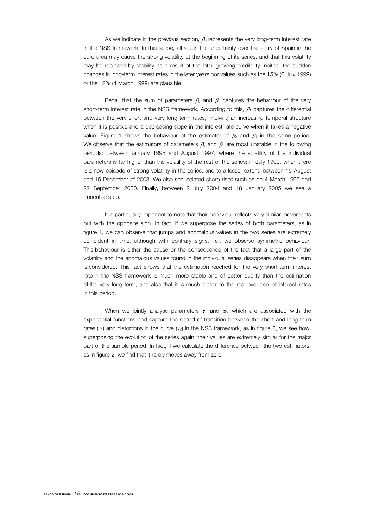As we indicate in the previous section,  $\beta_0$  represents the very long-term interest rate in the NSS framework. In this sense, although the uncertainty over the entry of Spain in the euro area may cause the strong volatility at the beginning of its series, and that this volatility may be replaced by stability as a result of the later growing credibility, neither the sudden changes in long-term interest rates in the later years nor values such as the 15% (6 July 1999) or the 12% (4 March 1999) are plausible.

Recall that the sum of parameters  $\beta_0$  and  $\beta_1$  captures the behaviour of the very short-term interest rate in the NSS framework. According to this,  $\beta_1$  captures the differential between the very short and very long-term rates, implying an increasing temporal structure when it is positive and a decreasing slope in the interest rate curve when it takes a negative value. Figure 1 shows the behaviour of the estimator of  $\beta_0$  and  $\beta_1$  in the same period. We observe that the estimators of parameters  $\beta_0$  and  $\beta_1$  are most unstable in the following periods: between January 1995 and August 1997, where the volatility of the individual parameters is far higher than the volatility of the rest of the series; in July 1999, when there is a new episode of strong volatility in the series; and to a lesser extent, between 15 August and 15 December of 2003. We also see isolated sharp rises such as on 4 March 1999 and 22 September 2000. Finally, between 2 July 2004 and 18 January 2005 we see a truncated step.

It is particularly important to note that their behaviour reflects very similar movements but with the opposite sign. In fact, if we superpose the series of both parameters, as in figure 1, we can observe that jumps and anomalous values in the two series are extremely coincident in time, although with contrary signs, i.e., we observe symmetric behaviour. This behaviour is either the cause or the consequence of the fact that a large part of the volatility and the anomalous values found in the individual series disappears when their sum is considered. This fact shows that the estimation reached for the very short-term interest rate in the NSS framework is much more stable and of better quality than the estimation of the very long-term, and also that it is much closer to the real evolution of interest rates in this period.

When we jointly analyse parameters  $\tau_1$  and  $\tau_2$ , which are associated with the exponential functions and capture the speed of transition between the short and long-term rates ( $\tau_1$ ) and distortions in the curve ( $\tau_2$ ) in the NSS framework, as in figure 2, we see how, superposing the evolution of the series again, their values are extremely similar for the major part of the sample period. In fact, if we calculate the difference between the two estimators, as in figure 2, we find that it rarely moves away from zero.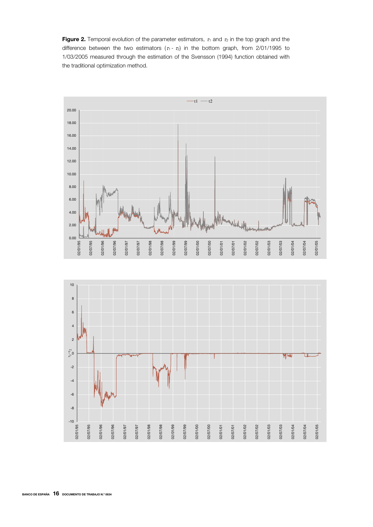Figure 2. Temporal evolution of the parameter estimators,  $\tau_1$  and  $\tau_2$  in the top graph and the difference between the two estimators  $(\tau_1 - \tau_2)$  in the bottom graph, from 2/01/1995 to 1/03/2005 measured through the estimation of the Svensson (1994) function obtained with the traditional optimization method.



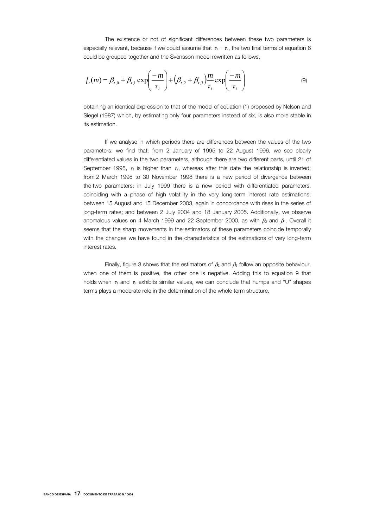The existence or not of significant differences between these two parameters is especially relevant, because if we could assume that  $\tau_1 = \tau_2$ , the two final terms of equation 6 could be grouped together and the Svensson model rewritten as follows,

$$
f_t(m) = \beta_{t,0} + \beta_{t,1} \exp\left(\frac{-m}{\tau_t}\right) + \left(\beta_{t,2} + \beta_{t,3}\right) \frac{m}{\tau_t} \exp\left(\frac{-m}{\tau_t}\right)
$$
(9)

obtaining an identical expression to that of the model of equation (1) proposed by Nelson and Siegel (1987) which, by estimating only four parameters instead of six, is also more stable in its estimation.

If we analyse in which periods there are differences between the values of the two parameters, we find that: from 2 January of 1995 to 22 August 1996, we see clearly differentiated values in the two parameters, although there are two different parts, until 21 of September 1995,  $\tau_1$  is higher than  $\tau_2$ , whereas after this date the relationship is inverted; from 2 March 1998 to 30 November 1998 there is a new period of divergence between the two parameters; in July 1999 there is a new period with differentiated parameters, coinciding with a phase of high volatility in the very long-term interest rate estimations; between 15 August and 15 December 2003, again in concordance with rises in the series of long-term rates; and between 2 July 2004 and 18 January 2005. Additionally, we observe anomalous values on 4 March 1999 and 22 September 2000, as with  $\beta_0$  and  $\beta_1$ . Overall it seems that the sharp movements in the estimators of these parameters coincide temporally with the changes we have found in the characteristics of the estimations of very long-term interest rates.

Finally, figure 3 shows that the estimators of  $\beta_2$  and  $\beta_3$  follow an opposite behaviour, when one of them is positive, the other one is negative. Adding this to equation 9 that holds when  $\tau_1$  and  $\tau_2$  exhibits similar values, we can conclude that humps and "U" shapes terms plays a moderate role in the determination of the whole term structure.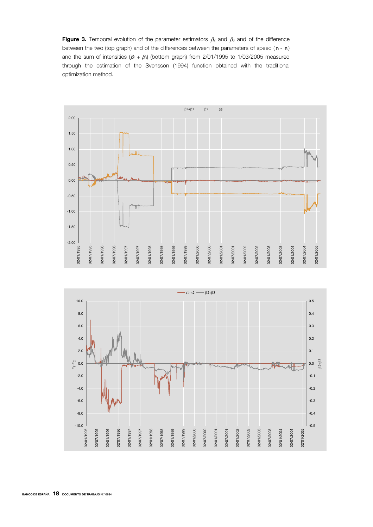Figure 3. Temporal evolution of the parameter estimators  $\beta_2$  and  $\beta_3$  and of the difference between the two (top graph) and of the differences between the parameters of speed ( $\tau_1$  -  $\tau_2$ ) and the sum of intensities  $(\beta_2 + \beta_3)$  (bottom graph) from 2/01/1995 to 1/03/2005 measured through the estimation of the Svensson (1994) function obtained with the traditional optimization method.



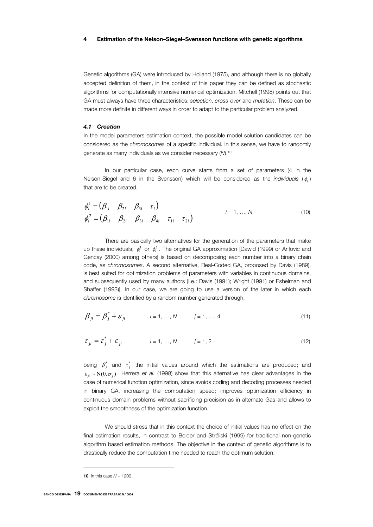#### 4 Estimation of the Nelson–Siegel–Svensson functions with genetic algorithms

Genetic algorithms (GA) were introduced by Holland (1975), and although there is no globally accepted definition of them, in the context of this paper they can be defined as stochastic algorithms for computationally intensive numerical optimization. Mitchell (1998) points out that GA must always have three characteristics: *selection*, *cross-over* and *mutation*. These can be made more definite in different ways in order to adapt to the particular problem analyzed.

#### *4.1 Creation*

In the model parameters estimation context, the possible model solution candidates can be considered as the *chromosomes* of a specific individual. In this sense, we have to randomly generate as many individuals as we consider necessary (*N*).10

In our particular case, each curve starts from a set of parameters (4 in the Nelson-Siegel and 6 in the Svensson) which will be considered as the *individuals* (φ*<sup>i</sup>* ) that are to be created,

$$
\phi_i^1 = (\beta_{1i} \quad \beta_{2i} \quad \beta_{3i} \quad \tau_i)
$$
\n
$$
\phi_i^2 = (\beta_{1i} \quad \beta_{2i} \quad \beta_{3i} \quad \beta_{4i} \quad \tau_{1i} \quad \tau_{2i})
$$
\n
$$
i = 1, ..., N
$$
\n(10)

There are basically two alternatives for the generation of the parameters that make up these individuals,  $\phi_i^1$  or  $\phi_i^2$ . The original GA approximation [Dawid (1999) or Arifovic and Gencay (2000) among others] is based on decomposing each number into a binary chain code, as *chromosomes*. A second alternative, Real-Coded GA, proposed by Davis (1989), is best suited for optimization problems of parameters with variables in continuous domains, and subsequently used by many authors [i.e.: Davis (1991); Wright (1991) or Eshelman and Shaffer (1993)]. In our case, we are going to use a version of the later in which each *chromosome* is identified by a random number generated through,

$$
\beta_{ji} = \beta_j^* + \varepsilon_{ji} \qquad i = 1, ..., N \qquad j = 1, ..., 4 \qquad (11)
$$

$$
\tau_{ji} = \tau_j^* + \varepsilon_{ji} \qquad i = 1, ..., N \qquad j = 1, 2 \qquad (12)
$$

being  $\beta_j^*$  and  $\tau_j^*$  the initial values around which the estimations are produced; and  $\varepsilon_{ii} \sim N(0, \sigma_i)$ . Herrera *et al.* (1998) show that this alternative has clear advantages in the case of numerical function optimization, since avoids coding and decoding processes needed in binary GA, increasing the computation speed; improves optimization efficiency in continuous domain problems without sacrificing precision as in alternate Gas and allows to exploit the smoothness of the optimization function.

We should stress that in this context the choice of initial values has no effect on the final estimation results, in contrast to Bolder and Stréliski (1999) for traditional non-genetic algorithm based estimation methods. The objective in the context of genetic algorithms is to drastically reduce the computation time needed to reach the optimum solution.

<sup>10</sup>. In this case *N =* 1200.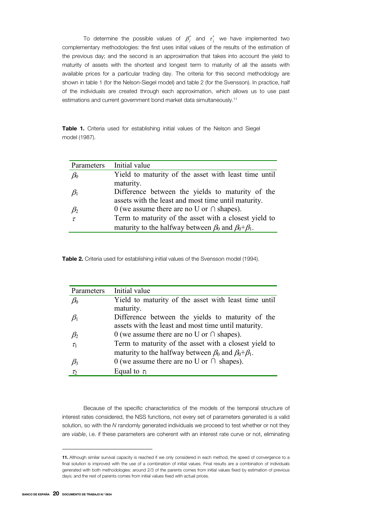To determine the possible values of  $\beta_j^*$  and  $\tau_j^*$  we have implemented two complementary methodologies: the first uses initial values of the results of the estimation of the previous day; and the second is an approximation that takes into account the yield to maturity of assets with the shortest and longest term to maturity of all the assets with available prices for a particular trading day. The criteria for this second methodology are shown in table 1 (for the Nelson-Siegel model) and table 2 (for the Svensson). In practice, half of the individuals are created through each approximation, which allows us to use past estimations and current government bond market data simultaneously.<sup>11</sup>

Table 1. Criteria used for establishing initial values of the Nelson and Siegel model (1987).

| Parameters | Initial value                                                       |
|------------|---------------------------------------------------------------------|
| $\beta_0$  | Yield to maturity of the asset with least time until                |
|            | maturity.                                                           |
| $\beta_1$  | Difference between the yields to maturity of the                    |
|            | assets with the least and most time until maturity.                 |
| $\beta_2$  | 0 (we assume there are no U or $\cap$ shapes).                      |
| $\tau$     | Term to maturity of the asset with a closest yield to               |
|            | maturity to the halfway between $\beta_0$ and $\beta_0 + \beta_1$ . |

Table 2. Criteria used for establishing initial values of the Svensson model (1994).

| Parameters | Initial value                                                       |
|------------|---------------------------------------------------------------------|
| $\beta_0$  | Yield to maturity of the asset with least time until                |
|            | maturity.                                                           |
| $\beta_1$  | Difference between the yields to maturity of the                    |
|            | assets with the least and most time until maturity.                 |
| $\beta_2$  | 0 (we assume there are no U or $\cap$ shapes).                      |
| $\tau_1$   | Term to maturity of the asset with a closest yield to               |
|            | maturity to the halfway between $\beta_0$ and $\beta_0 + \beta_1$ . |
| $\beta_3$  | 0 (we assume there are no U or $\cap$ shapes).                      |
| $\tau_2$   | Equal to $\tau_1$                                                   |

Because of the specific characteristics of the models of the temporal structure of interest rates considered, the NSS functions, not every set of parameters generated is a valid solution, so with the *N* randomly generated individuals we proceed to test whether or not they are *viable*, i.e. if these parameters are coherent with an interest rate curve or not, eliminating

<sup>11.</sup> Although similar survival capacity is reached if we only considered in each method, the speed of convergence to a final solution is improved with the use of a combination of initial values. Final results are a combination of individuals generated with both methodologies: around 2/3 of the parents comes from initial values fixed by estimation of previous days; and the rest of parents comes from initial values fixed with actual prices.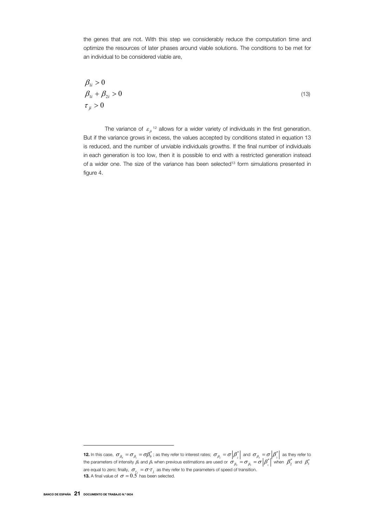the genes that are not. With this step we considerably reduce the computation time and optimize the resources of later phases around viable solutions. The conditions to be met for an individual to be considered viable are,

$$
\begin{aligned}\n\beta_{1i} > 0 \\
\beta_{1i} + \beta_{2i} > 0 \\
\tau_{ji} > 0\n\end{aligned} \tag{13}
$$

The variance of  $\varepsilon_{ii}$ <sup>12</sup> allows for a wider variety of individuals in the first generation. But if the variance grows in excess, the values accepted by conditions stated in equation 13 is reduced, and the number of unviable individuals growths. If the final number of individuals in each generation is too low, then it is possible to end with a restricted generation instead of a wider one. The size of the variance has been selected<sup>13</sup> form simulations presented in figure 4.

**<sup>12.</sup>** In this case,  $\sigma_{\beta_0} = \sigma_{\beta_1} = \sigma \beta_0^*$ ; as they refer to interest rates;  $\sigma_{\beta_2} = \sigma \left| \beta_2^* \right|$  and  $\sigma_{\beta_3} = \sigma \left| \beta_3^* \right|$  as they refer to the parameters of intensity  $\beta_2$  and  $\beta_3$  when previous estimations are used or  $\sigma_{\beta_2}=\sigma_{\beta_3}=\sigma\left|\beta_1^*\right|$  when  $\left|\beta_2^*\right|$  and  $\left|\beta_3^*\right|$ are equal to zero; finally,  $\sigma_{\tau_i} = \sigma \cdot \tau_j$  as they refer to the parameters of speed of transition. **13.** A final value of  $\sigma = 0.5'$  has been selected.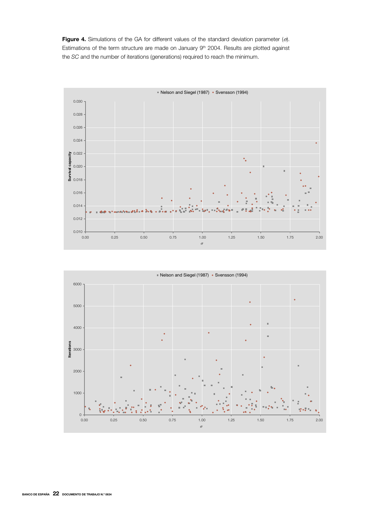Figure 4. Simulations of the GA for different values of the standard deviation parameter  $(\sigma)$ . Estimations of the term structure are made on January 9<sup>th</sup> 2004. Results are plotted against the *SC* and the number of iterations (generations) required to reach the minimum.





BANCO DE ESPAÑA 22 DOCUMENTO DE TRABAJO N.º 0634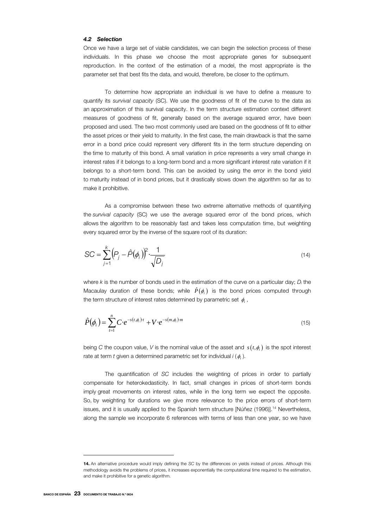#### *4.2 Selection*

Once we have a large set of viable candidates, we can begin the selection process of these individuals. In this phase we choose the most appropriate genes for subsequent reproduction. In the context of the estimation of a model, the most appropriate is the parameter set that best fits the data, and would, therefore, be closer to the optimum.

To determine how appropriate an individual is we have to define a measure to quantify its *survival capacity* (SC). We use the goodness of fit of the curve to the data as an approximation of this survival capacity. In the term structure estimation context different measures of goodness of fit, generally based on the average squared error, have been proposed and used. The two most commonly used are based on the goodness of fit to either the asset prices or their yield to maturity. In the first case, the main drawback is that the same error in a bond price could represent very different fits in the term structure depending on the time to maturity of this bond. A small variation in price represents a very small change in interest rates if it belongs to a long-term bond and a more significant interest rate variation if it belongs to a short-term bond. This can be avoided by using the error in the bond yield to maturity instead of in bond prices, but it drastically slows down the algorithm so far as to make it prohibitive.

As a compromise between these two extreme alternative methods of quantifying the *survival capacity* (SC) we use the average squared error of the bond prices, which allows the algorithm to be reasonably fast and takes less computation time, but weighting every squared error by the inverse of the square root of its duration:

$$
SC = \sum_{j=1}^{k} (P_j - \hat{P}(\phi_i))^2 \cdot \frac{1}{\sqrt{D_j}}
$$
 (14)

where *k* is the number of bonds used in the estimation of the curve on a particular day; *Di* the Macaulay duration of these bonds; while  $\hat{P}(\phi_i)$  is the bond prices computed through the term structure of interest rates determined by parametric set  $\phi_i$ ,

$$
\hat{P}(\phi_i) = \sum_{t=1}^{n} C \cdot e^{-s(t, \phi_i)t} + V \cdot e^{-s(m, \phi_i)m}
$$
\n(15)

being *C* the coupon value, *V* is the nominal value of the asset and  $s(t, \phi)$  is the spot interest rate at term *t* given a determined parametric set for individual *i* (φ*<sup>i</sup>* ).

The quantification of *SC* includes the weighting of prices in order to partially compensate for heterokedasticity. In fact, small changes in prices of short-term bonds imply great movements on interest rates, while in the long term we expect the opposite. So, by weighting for durations we give more relevance to the price errors of short-term issues, and it is usually applied to the Spanish term structure [Núñez (1996)].14 Nevertheless, along the sample we incorporate 6 references with terms of less than one year, so we have

 $\overline{a}$ 

<sup>14</sup>. An alternative procedure would imply defining the *SC* by the differences on yields instead of prices. Although this methodology avoids the problems of prices, it increases exponentially the computational time required to the estimation, and make it prohibitive for a genetic algorithm.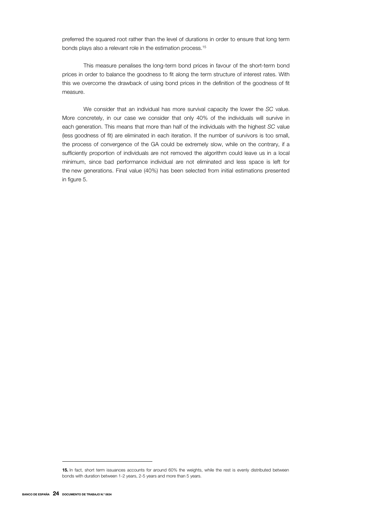preferred the squared root rather than the level of durations in order to ensure that long term bonds plays also a relevant role in the estimation process.<sup>15</sup>

This measure penalises the long-term bond prices in favour of the short-term bond prices in order to balance the goodness to fit along the term structure of interest rates. With this we overcome the drawback of using bond prices in the definition of the goodness of fit measure.

We consider that an individual has more survival capacity the lower the *SC* value. More concretely, in our case we consider that only 40% of the individuals will survive in each generation. This means that more than half of the individuals with the highest *SC* value (less goodness of fit) are eliminated in each iteration. If the number of survivors is too small, the process of convergence of the GA could be extremely slow, while on the contrary, if a sufficiently proportion of individuals are not removed the algorithm could leave us in a local minimum, since bad performance individual are not eliminated and less space is left for the new generations. Final value (40%) has been selected from initial estimations presented in figure 5.

<sup>15.</sup> In fact, short term issuances accounts for around 60% the weights, while the rest is evenly distributed between bonds with duration between 1-2 years, 2-5 years and more than 5 years.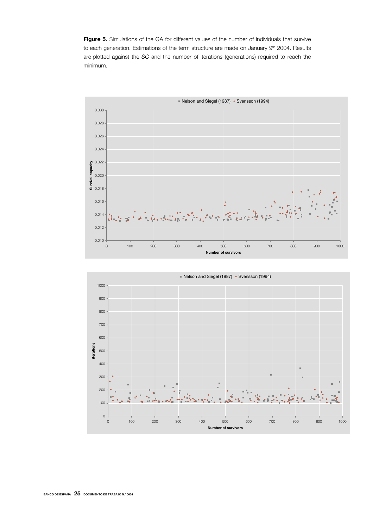Figure 5. Simulations of the GA for different values of the number of individuals that survive to each generation. Estimations of the term structure are made on January 9<sup>th</sup> 2004. Results are plotted against the *SC* and the number of iterations (generations) required to reach the minimum.



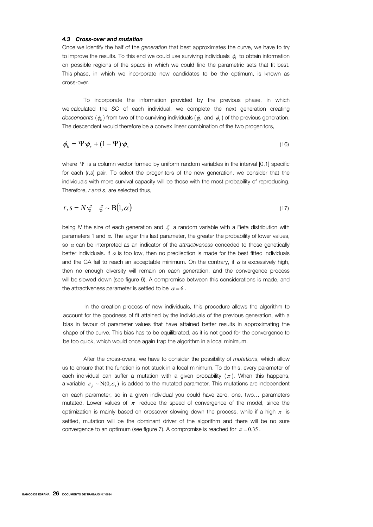#### *4.3 Cross-over and mutation*

Once we identify the half of the *generation* that best approximates the curve, we have to try to improve the results. To this end we could use surviving individuals φ*i* to obtain information on possible regions of the space in which we could find the parametric sets that fit best. This phase, in which we incorporate new candidates to be the optimum, is known as cross-over.

To incorporate the information provided by the previous phase, in which we calculated the *SC* of each individual, we complete the next generation creating *descendents* ( $\phi_k$ ) from two of the surviving individuals ( $\phi_k$  and  $\phi_k$ ) of the previous generation. The descendent would therefore be a convex linear combination of the two progenitors,

$$
\phi_k = \Psi \cdot \phi_r + (1 - \Psi) \cdot \phi_s \tag{16}
$$

where Ψ is a column vector formed by uniform random variables in the interval [0,1] specific for each (*r*,*s*) pair. To select the progenitors of the new generation, we consider that the individuals with more survival capacity will be those with the most probability of reproducing. Therefore, *r and s*, are selected thus,

$$
r, s = N \cdot \xi \quad \xi \sim \mathcal{B}(1, \alpha) \tag{17}
$$

being *N* the size of each generation and ξ a random variable with a Beta distribution with parameters 1 and  $\alpha$ . The larger this last parameter, the greater the probability of lower values, so α can be interpreted as an indicator of the *attractiveness* conceded to those genetically better individuals. If  $\alpha$  is too low, then no predilection is made for the best fitted individuals and the GA fail to reach an acceptable minimum. On the contrary, if  $\alpha$  is excessively high, then no enough diversity will remain on each generation, and the convergence process will be slowed down (see figure 6). A compromise between this considerations is made, and the attractiveness parameter is settled to be  $\alpha = 6$ .

In the creation process of new individuals, this procedure allows the algorithm to account for the goodness of fit attained by the individuals of the previous generation, with a bias in favour of parameter values that have attained better results in approximating the shape of the curve. This bias has to be equilibrated, as it is not good for the convergence to be too quick, which would once again trap the algorithm in a local minimum.

After the cross-overs, we have to consider the possibility of *mutations*, which allow us to ensure that the function is not stuck in a local minimum. To do this, every parameter of each individual can suffer a mutation with a given probability  $(\pi)$ . When this happens, a variable  $\varepsilon_{ii} \sim N(0, \sigma_i)$  is added to the mutated parameter. This mutations are independent on each parameter, so in a given individual you could have zero, one, two… parameters mutated. Lower values of  $\pi$  reduce the speed of convergence of the model, since the optimization is mainly based on crossover slowing down the process, while if a high  $\pi$  is settled, mutation will be the dominant driver of the algorithm and there will be no sure convergence to an optimum (see figure 7). A compromise is reached for  $\pi = 0.35$ .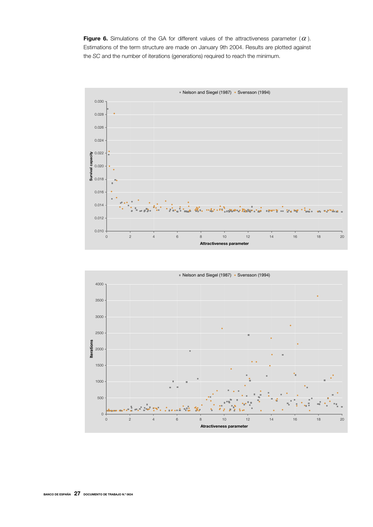Figure 6. Simulations of the GA for different values of the attractiveness parameter  $(\alpha)$ . Estimations of the term structure are made on January 9th 2004. Results are plotted against the *SC* and the number of iterations (generations) required to reach the minimum.



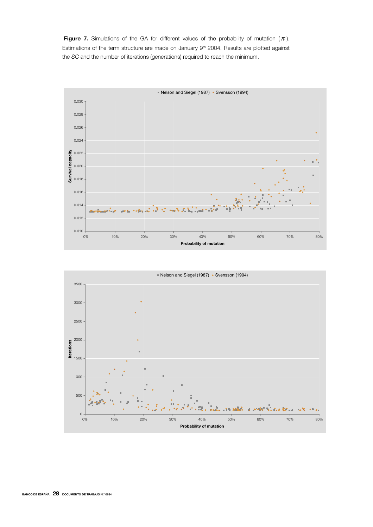Figure 7. Simulations of the GA for different values of the probability of mutation  $(\pi)$ . Estimations of the term structure are made on January 9<sup>th</sup> 2004. Results are plotted against the *SC* and the number of iterations (generations) required to reach the minimum.



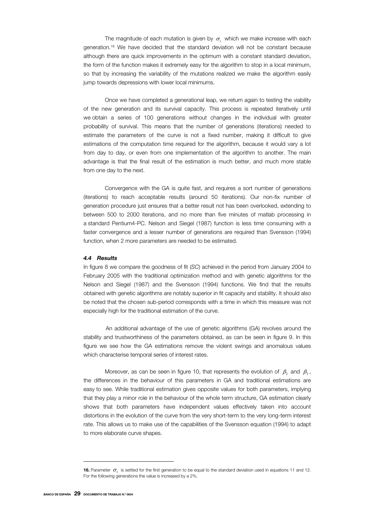The magnitude of each mutation is given by  $\sigma$ , which we make increase with each generation.16 We have decided that the standard deviation will not be constant because although there are quick improvements in the optimum with a constant standard deviation, the form of the function makes it extremely easy for the algorithm to stop in a local minimum, so that by increasing the variability of the mutations realized we make the algorithm easily jump towards depressions with lower local minimums.

Once we have completed a generational leap, we return again to testing the viability of the new generation and its survival capacity. This process is repeated iteratively until we obtain a series of 100 generations without changes in the individual with greater probability of survival. This means that the number of generations (iterations) needed to estimate the parameters of the curve is not a fixed number, making it difficult to give estimations of the computation time required for the algorithm, because it would vary a lot from day to day, or even from one implementation of the algorithm to another. The main advantage is that the final result of the estimation is much better, and much more stable from one day to the next.

Convergence with the GA is quite fast, and requires a sort number of generations (iterations) to reach acceptable results (around 50 iterations). Our non-fix number of generation procedure just ensures that a better result not has been overlooked, extending to between 500 to 2000 iterations, and no more than five minutes of matlab processing in a standard Pentium4-PC. Nelson and Siegel (1987) function is less time consuming with a faster convergence and a lesser number of generations are required than Svensson (1994) function, when 2 more parameters are needed to be estimated.

#### *4.4 Results*

In figure 8 we compare the goodness of fit (*SC*) achieved in the period from January 2004 to February 2005 with the traditional optimization method and with genetic algorithms for the Nelson and Siegel (1987) and the Svensson (1994) functions. We find that the results obtained with genetic algorithms are notably superior in fit capacity and stability. It should also be noted that the chosen sub-period corresponds with a time in which this measure was not especially high for the traditional estimation of the curve.

An additional advantage of the use of genetic algorithms (GA) revolves around the stability and trustworthiness of the parameters obtained, as can be seen in figure 9. In this figure we see how the GA estimations remove the violent swings and anomalous values which characterise temporal series of interest rates.

Moreover, as can be seen in figure 10, that represents the evolution of  $\beta_2$ , and  $\beta_3$ , the differences in the behaviour of this parameters in GA and traditional estimations are easy to see. While traditional estimation gives opposite values for both parameters, implying that they play a minor role in the behaviour of the whole term structure, GA estimation clearly shows that both parameters have independent values effectively taken into account distortions in the evolution of the curve from the very short-term to the very long-term interest rate. This allows us to make use of the capabilities of the Svensson equation (1994) to adapt to more elaborate curve shapes.

**<sup>16.</sup>** Parameter  $\sigma$ , is settled for the first generation to be equal to the standard deviation used in equations 11 and 12. For the following generations the value is increased by a 2%.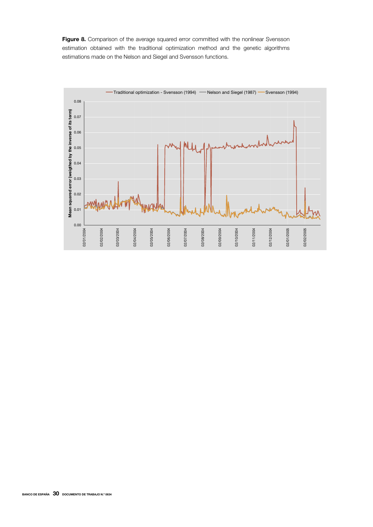Figure 8. Comparison of the average squared error committed with the nonlinear Svensson estimation obtained with the traditional optimization method and the genetic algorithms estimations made on the Nelson and Siegel and Svensson functions.

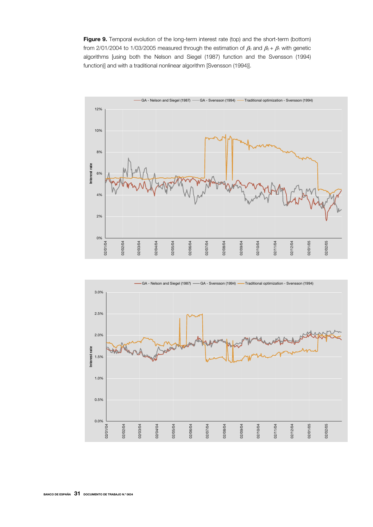Figure 9. Temporal evolution of the long-term interest rate (top) and the short-term (bottom) from 2/01/2004 to 1/03/2005 measured through the estimation of  $\beta_0$  and  $\beta_0 + \beta_1$  with genetic algorithms [using both the Nelson and Siegel (1987) function and the Svensson (1994) function)] and with a traditional nonlinear algorithm [Svensson (1994)].



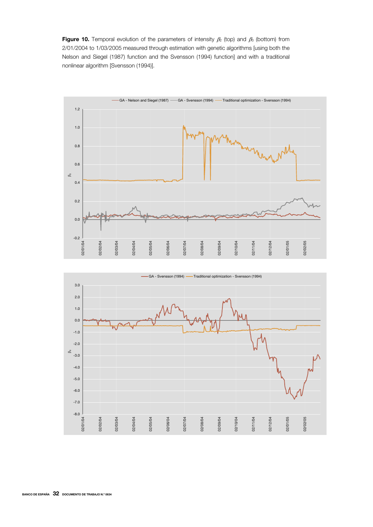Figure 10. Temporal evolution of the parameters of intensity  $\beta_2$  (top) and  $\beta_3$  (bottom) from 2/01/2004 to 1/03/2005 measured through estimation with genetic algorithms [using both the Nelson and Siegel (1987) function and the Svensson (1994) function] and with a traditional nonlinear algorithm [Svensson (1994)].



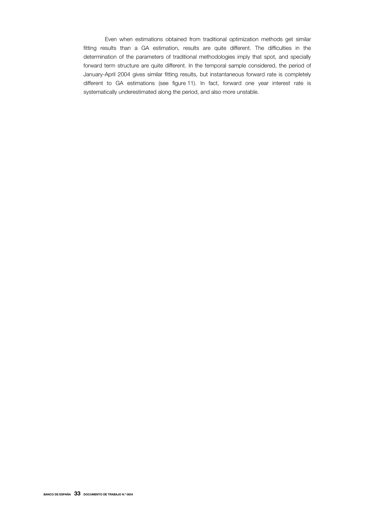Even when estimations obtained from traditional optimization methods get similar fitting results than a GA estimation, results are quite different. The difficulties in the determination of the parameters of traditional methodologies imply that spot, and specially forward term structure are quite different. In the temporal sample considered, the period of January-April 2004 gives similar fitting results, but instantaneous forward rate is completely different to GA estimations (see figure 11). In fact, forward one year interest rate is systematically underestimated along the period, and also more unstable.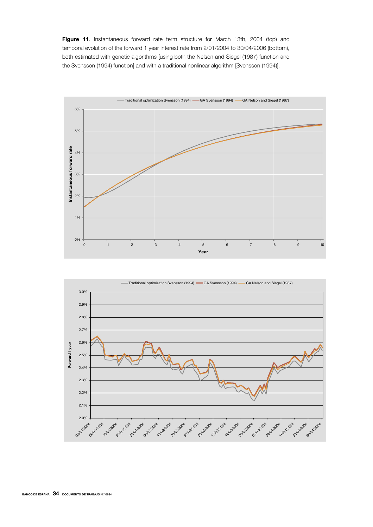Figure 11. Instantaneous forward rate term structure for March 13th, 2004 (top) and temporal evolution of the forward 1 year interest rate from 2/01/2004 to 30/04/2006 (bottom), both estimated with genetic algorithms [using both the Nelson and Siegel (1987) function and the Svensson (1994) function] and with a traditional nonlinear algorithm [Svensson (1994)].



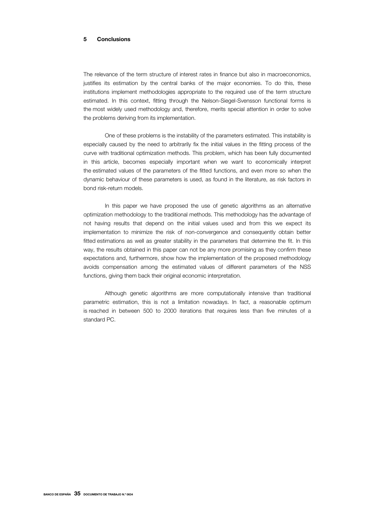#### 5 Conclusions

The relevance of the term structure of interest rates in finance but also in macroeconomics, justifies its estimation by the central banks of the major economies. To do this, these institutions implement methodologies appropriate to the required use of the term structure estimated. In this context, fitting through the Nelson-Siegel-Svensson functional forms is the most widely used methodology and, therefore, merits special attention in order to solve the problems deriving from its implementation.

One of these problems is the instability of the parameters estimated. This instability is especially caused by the need to arbitrarily fix the initial values in the fitting process of the curve with traditional optimization methods. This problem, which has been fully documented in this article, becomes especially important when we want to economically interpret the estimated values of the parameters of the fitted functions, and even more so when the dynamic behaviour of these parameters is used, as found in the literature, as risk factors in bond risk-return models.

In this paper we have proposed the use of genetic algorithms as an alternative optimization methodology to the traditional methods. This methodology has the advantage of not having results that depend on the initial values used and from this we expect its implementation to minimize the risk of non-convergence and consequently obtain better fitted estimations as well as greater stability in the parameters that determine the fit. In this way, the results obtained in this paper can not be any more promising as they confirm these expectations and, furthermore, show how the implementation of the proposed methodology avoids compensation among the estimated values of different parameters of the NSS functions, giving them back their original economic interpretation.

Although genetic algorithms are more computationally intensive than traditional parametric estimation, this is not a limitation nowadays. In fact, a reasonable optimum is reached in between 500 to 2000 iterations that requires less than five minutes of a standard PC.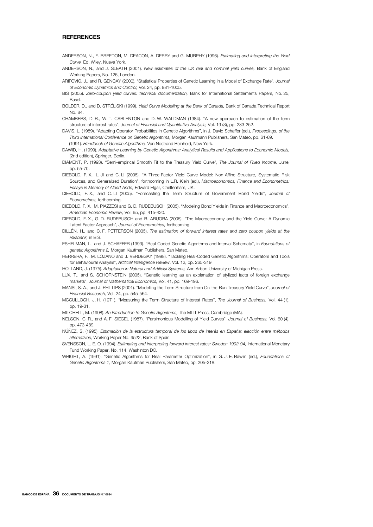#### **REFERENCES**

- ANDERSON, N., F. BREEDON, M. DEACON, A. DERRY and G. MURPHY (1996). *Estimating and Interpreting the Yield Curve,* Ed. Wiley, Nueva York.
- ANDERSON, N., and J. SLEATH (2001). *New estimates of the UK real and nominal yield curves,* Bank of England Working Papers, No. 126, London.
- ARIFOVIC, J., and R. GENCAY (2000). "Statistical Properties of Genetic Learning in a Model of Exchange Rate", *Journal of Economic Dynamics and Control,* Vol. 24, pp. 981-1005.
- BIS (2005). *Zero-coupon yield curves: technical documentation*, Bank for International Settlements Papers, No. 25, Basel.
- BOLDER, D., and D. STRÉLISKI (1999). *Yield Curve Modelling at the Bank of Canada,* Bank of Canada Technical Report No. 84.
- CHAMBERS, D. R., W. T. CARLENTON and D. W. WALDMAN (1984). "A new approach to estimation of the term structure of interest rates", *Journal of Financial and Quantitative Analysis,* Vol. 19 (3), pp. 233-252.
- DAVIS, L. (1989). "Adapting Operator Probabilities in Genetic Algorithms", in J. David Schaffer (ed.), *Proceedings. of the Third International Conference on Genetic Algorithms,* Morgan Kaufmann Publishers, San Mateo, pp. 61-69. –– (1991). *Handbook of Genetic Algorithms,* Van Nostrand Reinhold, New York.
- DAWID, H. (1999). *Adaptative Learning by Genetic Algorithms: Analytical Results and Applications to Economic Models,* (2nd edition), Springer, Berlin.
- DIAMENT, P. (1993). "Semi-empirical Smooth Fit to the Treasury Yield Curve", *The Journal of Fixed Income,* June, pp. 55-70.
- DIEBOLD, F. X., L. JI and C. LI (2005). "A Three-Factor Yield Curve Model: Non-Affine Structure, Systematic Risk Sources, and Generalized Duration", forthcoming in L.R. Klein (ed.), *Macroeconomics, Finance and Econometrics: Essays in Memory of Albert Ando,* Edward Elgar, Cheltenham, UK.
- DIEBOLD, F. X., and C. LI (2005). "Forecasting the Term Structure of Government Bond Yields", *Journal of Econometrics,* forthcoming.
- DIEBOLD, F. X., M. PIAZZESI and G. D. RUDEBUSCH (2005). "Modeling Bond Yields in Finance and Macroeconomics", *American Economic Review,* Vol. 95, pp. 415-420.
- DIEBOLD, F. X., G. D. RUDEBUSCH and B. ARUOBA (2005). "The Macroeconomy and the Yield Curve: A Dynamic Latent Factor Approach", *Journal of Econometrics,* forthcoming.
- DILLÉN, H., and C. F. PETTERSON (2005). *The estimation of forward interest rates and zero coupon yields at the Riksbank,* in BIS.
- ESHELMAN, L., and J. SCHAFFER (1993). "Real-Coded Genetic Algorithms and Interval Schemata", in *Foundations of genetic Algorithms 2,* Morgan Kaufman Publishers, San Mateo.
- HERRERA, F., M. LOZANO and J. VERDEGAY (1998). "Tackling Real-Coded Genetic Algorithms: Operators and Tools for Behavioural Analysis", *Artificial Intelligence Review*, Vol. 12, pp. 265-319.
- HOLLAND, J. (1975). *Adaptation in Natural and Artificial Systems,* Ann Arbor: University of Michigan Press.
- LUX, T., and S. SCHORNSTEIN (2005). "Genetic learning as an explanation of stylized facts of foreign exchange markets", *Journal of Mathematical Economics,* Vol. 41, pp. 169-196.
- MANSI, S. A., and J. PHILLIPS (2001). "Modelling the Term Structure from On-the-Run Treasury Yield Curve", *Journal of Financial Research,* Vol. 24, pp. 545-564.
- MCCULLOCH, J. H. (1971). "Measuring the Term Structure of Interest Rates", *The Journal of Business,* Vol. 44 (1), pp. 19-31.
- MITCHELL, M. (1998). *An Introduction to Genetic Algorithms,* The MITT Press, Cambridge (MA).
- NELSON, C. R., and A. F. SIEGEL (1987). "Parsimonious Modelling of Yield Curves", *Journal of Business,* Vol. 60 (4), pp. 473-489.
- NÚÑEZ, S. (1995). *Estimación de la estructura temporal de los tipos de interés en España: elección entre métodos alternativos,* Working Paper No. 9522, Bank of Spain.
- SVENSSON, L. E. O. (1994). *Estimating and interpreting forward interest rates: Sweden 1992-94,* International Monetary Fund Working Paper, No. 114, Washinton DC.
- WRIGHT, A. (1991). "Genetic Algorithms for Real Parameter Optimization", in G. J. E. Rawlin (ed.), *Foundations of Genetic Algorithms 1,* Morgan Kaufman Publishers, San Mateo, pp. 205-218.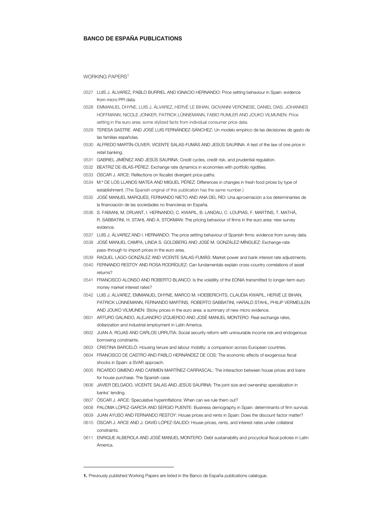#### BANCO DE ESPAÑA PUBLICATIONS

WORKING PAPERS<sup>1</sup>

- 0527 LUIS J. ÁLVAREZ, PABLO BURRIEL AND IGNACIO HERNANDO: Price setting behaviour in Spain: evidence from micro PPI data.
- 0528 EMMANUEL DHYNE, LUIS J. ÁLVAREZ, HERVÉ LE BIHAN, GIOVANNI VERONESE, DANIEL DIAS, JOHANNES HOFFMANN, NICOLE JONKER, PATRICK LÜNNEMANN, FABIO RUMLER AND JOUKO VILMUNEN: Price setting in the euro area: some stylized facts from individual consumer price data.
- 0529 TERESA SASTRE AND JOSÉ LUIS FERNÁNDEZ-SÁNCHEZ: Un modelo empírico de las decisiones de gasto de las familias españolas.
- 0530 ALFREDO MARTÍN-OLIVER, VICENTE SALAS-FUMÁS AND JESÚS SAURINA: A test of the law of one price in retail banking.
- 0531 GABRIEL JIMÉNEZ AND JESÚS SAURINA: Credit cycles, credit risk, and prudential regulation.
- 0532 BEATRIZ DE-BLAS-PÉREZ: Exchange rate dynamics in economies with portfolio rigidities.
- 0533 ÓSCAR J. ARCE: Reflections on fiscalist divergent price-paths.
- 0534 M.<sup>a</sup> DE LOS LLANOS MATEA AND MIGUEL PÉREZ: Differences in changes in fresh food prices by type of establishment. (The Spanish original of this publication has the same number.)
- 0535 JOSÉ MANUEL MARQUÉS, FERNANDO NIETO AND ANA DEL RÍO: Una aproximación a los determinantes de la financiación de las sociedades no financieras en España.
- 0536 S. FABIANI, M. DRUANT, I. HERNANDO, C. KWAPIL, B. LANDAU, C. LOUPIAS, F. MARTINS, T. MATHÄ, R. SABBATINI, H. STAHL AND A. STOKMAN: The pricing behaviour of firms in the euro area: new survey evidence.
- 0537 LUIS J. ÁLVAREZ AND I. HERNANDO: The price setting behaviour of Spanish firms: evidence from survey data.
- 0538 JOSÉ MANUEL CAMPA, LINDA S. GOLDBERG AND JOSÉ M. GONZÁLEZ-MÍNGUEZ: Exchange-rate pass-through to import prices in the euro area.
- 0539 RAQUEL LAGO-GONZÁLEZ AND VICENTE SALAS-FUMÁS: Market power and bank interest rate adjustments.
- 0540 FERNANDO RESTOY AND ROSA RODRÍGUEZ: Can fundamentals explain cross-country correlations of asset returns?
- 0541 FRANCISCO ALONSO AND ROBERTO BLANCO: Is the volatility of the EONIA transmitted to longer-term euro money market interest rates?
- 0542 LUIS J. ÁLVAREZ, EMMANUEL DHYNE, MARCO M. HOEBERICHTS, CLAUDIA KWAPIL, HERVÉ LE BIHAN, PATRICK LÜNNEMANN, FERNANDO MARTINS, ROBERTO SABBATINI, HARALD STAHL, PHILIP VERMEULEN AND JOUKO VILMUNEN: Sticky prices in the euro area: a summary of new micro evidence.
- 0601 ARTURO GALINDO, ALEJANDRO IZQUIERDO AND JOSÉ MANUEL MONTERO: Real exchange rates, dollarization and industrial employment in Latin America.
- 0602 JUAN A. ROJAS AND CARLOS URRUTIA: Social security reform with uninsurable income risk and endogenous borrowing constraints.
- 0603 CRISTINA BARCELÓ: Housing tenure and labour mobility: a comparison across European countries.
- 0604 FRANCISCO DE CASTRO AND PABLO HERNÁNDEZ DE COS: The economic effects of exogenous fiscal shocks in Spain: a SVAR approach.
- 0605 RICARDO GIMENO AND CARMEN MARTÍNEZ-CARRASCAL: The interaction between house prices and loans for house purchase. The Spanish case.
- 0606 JAVIER DELGADO, VICENTE SALAS AND JESÚS SAURINA: The joint size and ownership specialization in banks' lending.
- 0607 ÓSCAR J. ARCE: Speculative hyperinflations: When can we rule them out?

j

- 0608 PALOMA LÓPEZ-GARCÍA AND SERGIO PUENTE: Business demography in Spain: determinants of firm survival.
- 0609 JUAN AYUSO AND FERNANDO RESTOY: House prices and rents in Spain: Does the discount factor matter? 0610 ÓSCAR J. ARCE AND J. DAVID LÓPEZ-SALIDO: House prices, rents, and interest rates under collateral
- constraints.
- 0611 ENRIQUE ALBEROLA AND JOSÉ MANUEL MONTERO: Debt sustainability and procyclical fiscal policies in Latin America.

<sup>1.</sup> Previously published Working Papers are listed in the Banco de España publications calalogue.